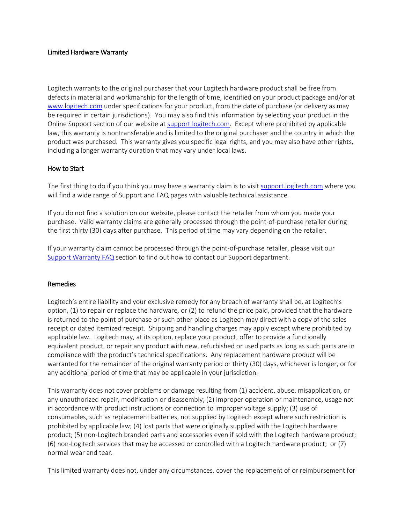## Limited Hardware Warranty

Logitech warrants to the original purchaser that your Logitech hardware product shall be free from defects in material and workmanship for the length of time, identified on your product package and/or at [www.logitech.com](http://www.logitech.com/) under specifications for your product, from the date of purchase (or delivery as may be required in certain jurisdictions). You may also find this information by selecting your product in the Online Support section of our website at [support.logitech.com.](http://support.logitech.com/) Except where prohibited by applicable law, this warranty is nontransferable and is limited to the original purchaser and the country in which the product was purchased. This warranty gives you specific legal rights, and you may also have other rights, including a longer warranty duration that may vary under local laws.

# How to Start

The first thing to do if you think you may have a warranty claim is to visit [support.logitech.com](http://support.logitech.com/) where you will find a wide range of Support and FAQ pages with valuable technical assistance.

If you do not find a solution on our website, please contact the retailer from whom you made your purchase. Valid warranty claims are generally processed through the point-of-purchase retailer during the first thirty (30) days after purchase. This period of time may vary depending on the retailer.

If your warranty claim cannot be processed through the point-of-purchase retailer, please visit our [Support Warranty FAQ](http://support.logitech.com/article/warranty) section to find out how to contact our Support department.

## Remedies

Logitech's entire liability and your exclusive remedy for any breach of warranty shall be, at Logitech's option, (1) to repair or replace the hardware, or (2) to refund the price paid, provided that the hardware is returned to the point of purchase or such other place as Logitech may direct with a copy of the sales receipt or dated itemized receipt. Shipping and handling charges may apply except where prohibited by applicable law. Logitech may, at its option, replace your product, offer to provide a functionally equivalent product, or repair any product with new, refurbished or used parts as long as such parts are in compliance with the product's technical specifications. Any replacement hardware product will be warranted for the remainder of the original warranty period or thirty (30) days, whichever is longer, or for any additional period of time that may be applicable in your jurisdiction.

This warranty does not cover problems or damage resulting from (1) accident, abuse, misapplication, or any unauthorized repair, modification or disassembly; (2) improper operation or maintenance, usage not in accordance with product instructions or connection to improper voltage supply; (3) use of consumables, such as replacement batteries, not supplied by Logitech except where such restriction is prohibited by applicable law; (4) lost parts that were originally supplied with the Logitech hardware product; (5) non-Logitech branded parts and accessories even if sold with the Logitech hardware product; (6) non-Logitech services that may be accessed or controlled with a Logitech hardware product; or (7) normal wear and tear.

This limited warranty does not, under any circumstances, cover the replacement of or reimbursement for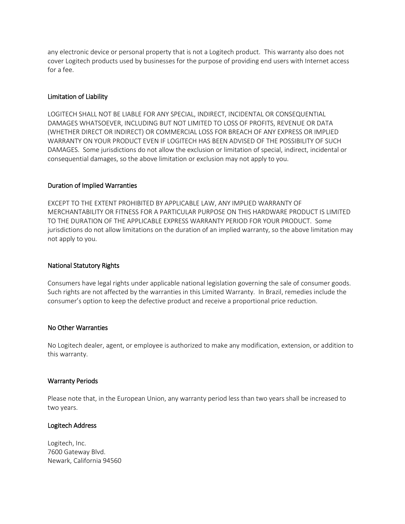any electronic device or personal property that is not a Logitech product. This warranty also does not cover Logitech products used by businesses for the purpose of providing end users with Internet access for a fee.

## Limitation of Liability

LOGITECH SHALL NOT BE LIABLE FOR ANY SPECIAL, INDIRECT, INCIDENTAL OR CONSEQUENTIAL DAMAGES WHATSOEVER, INCLUDING BUT NOT LIMITED TO LOSS OF PROFITS, REVENUE OR DATA (WHETHER DIRECT OR INDIRECT) OR COMMERCIAL LOSS FOR BREACH OF ANY EXPRESS OR IMPLIED WARRANTY ON YOUR PRODUCT EVEN IF LOGITECH HAS BEEN ADVISED OF THE POSSIBILITY OF SUCH DAMAGES. Some jurisdictions do not allow the exclusion or limitation of special, indirect, incidental or consequential damages, so the above limitation or exclusion may not apply to you.

#### Duration of Implied Warranties

EXCEPT TO THE EXTENT PROHIBITED BY APPLICABLE LAW, ANY IMPLIED WARRANTY OF MERCHANTABILITY OR FITNESS FOR A PARTICULAR PURPOSE ON THIS HARDWARE PRODUCT IS LIMITED TO THE DURATION OF THE APPLICABLE EXPRESS WARRANTY PERIOD FOR YOUR PRODUCT. Some jurisdictions do not allow limitations on the duration of an implied warranty, so the above limitation may not apply to you.

### National Statutory Rights

Consumers have legal rights under applicable national legislation governing the sale of consumer goods. Such rights are not affected by the warranties in this Limited Warranty. In Brazil, remedies include the consumer's option to keep the defective product and receive a proportional price reduction.

#### No Other Warranties

No Logitech dealer, agent, or employee is authorized to make any modification, extension, or addition to this warranty.

#### Warranty Periods

Please note that, in the European Union, any warranty period less than two years shall be increased to two years.

## Logitech Address

Logitech, Inc. 7600 Gateway Blvd. Newark, California 94560